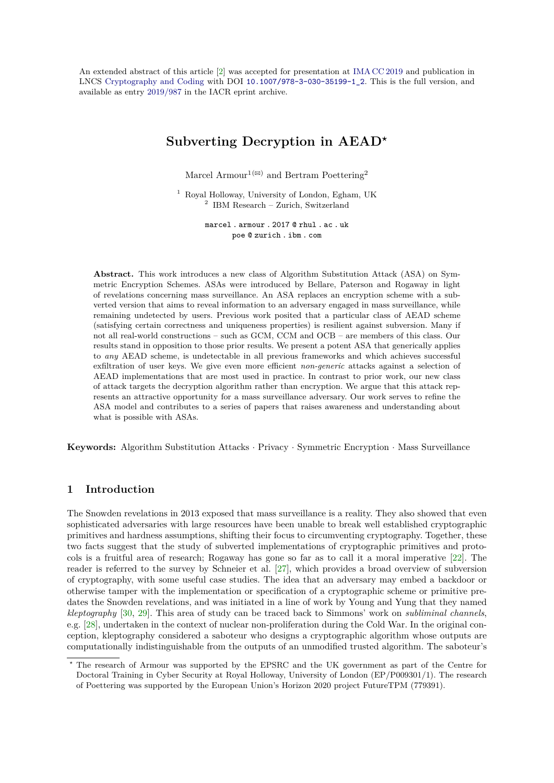An extended abstract of this article [\[2\]](#page-12-0) was accepted for presentation at [IMA CC 2019](https://malb.io/imacc2019/) and publication in LNCS [Cryptography and Coding](https://link.springer.com/conference/ima) with DOI [10.1007/978-3-030-35199-1\\_2](https://doi.org/10.1007/978-3-030-35199-1_2). This is the full version, and available as entry [2019/987](https://eprint.iacr.org/2019/987) in the IACR eprint archive.

# **Subverting Decryption in AEAD***?*

Marcel Armour<sup>1( $\boxtimes$ )</sup> and Bertram Poettering<sup>2</sup>

<sup>1</sup> Royal Holloway, University of London, Egham, UK 2 IBM Research – Zurich, Switzerland

> marcel . armour . 2017 @ rhul . ac . uk poe @ zurich . ibm . com

**Abstract.** This work introduces a new class of Algorithm Substitution Attack (ASA) on Symmetric Encryption Schemes. ASAs were introduced by Bellare, Paterson and Rogaway in light of revelations concerning mass surveillance. An ASA replaces an encryption scheme with a subverted version that aims to reveal information to an adversary engaged in mass surveillance, while remaining undetected by users. Previous work posited that a particular class of AEAD scheme (satisfying certain correctness and uniqueness properties) is resilient against subversion. Many if not all real-world constructions – such as GCM, CCM and OCB – are members of this class. Our results stand in opposition to those prior results. We present a potent ASA that generically applies to *any* AEAD scheme, is undetectable in all previous frameworks and which achieves successful exfiltration of user keys. We give even more efficient *non-generic* attacks against a selection of AEAD implementations that are most used in practice. In contrast to prior work, our new class of attack targets the decryption algorithm rather than encryption. We argue that this attack represents an attractive opportunity for a mass surveillance adversary. Our work serves to refine the ASA model and contributes to a series of papers that raises awareness and understanding about what is possible with ASAs.

**Keywords:** Algorithm Substitution Attacks · Privacy · Symmetric Encryption · Mass Surveillance

## **1 Introduction**

The Snowden revelations in 2013 exposed that mass surveillance is a reality. They also showed that even sophisticated adversaries with large resources have been unable to break well established cryptographic primitives and hardness assumptions, shifting their focus to circumventing cryptography. Together, these two facts suggest that the study of subverted implementations of cryptographic primitives and protocols is a fruitful area of research; Rogaway has gone so far as to call it a moral imperative [\[22\]](#page-13-0). The reader is referred to the survey by Schneier et al. [\[27\]](#page-13-1), which provides a broad overview of subversion of cryptography, with some useful case studies. The idea that an adversary may embed a backdoor or otherwise tamper with the implementation or specification of a cryptographic scheme or primitive predates the Snowden revelations, and was initiated in a line of work by Young and Yung that they named *kleptography* [\[30,](#page-13-2) [29\]](#page-13-3). This area of study can be traced back to Simmons' work on *subliminal channels*, e.g. [\[28\]](#page-13-4), undertaken in the context of nuclear non-proliferation during the Cold War. In the original conception, kleptography considered a saboteur who designs a cryptographic algorithm whose outputs are computationally indistinguishable from the outputs of an unmodified trusted algorithm. The saboteur's

*<sup>?</sup>* The research of Armour was supported by the EPSRC and the UK government as part of the Centre for Doctoral Training in Cyber Security at Royal Holloway, University of London (EP/P009301/1). The research of Poettering was supported by the European Union's Horizon 2020 project FutureTPM (779391).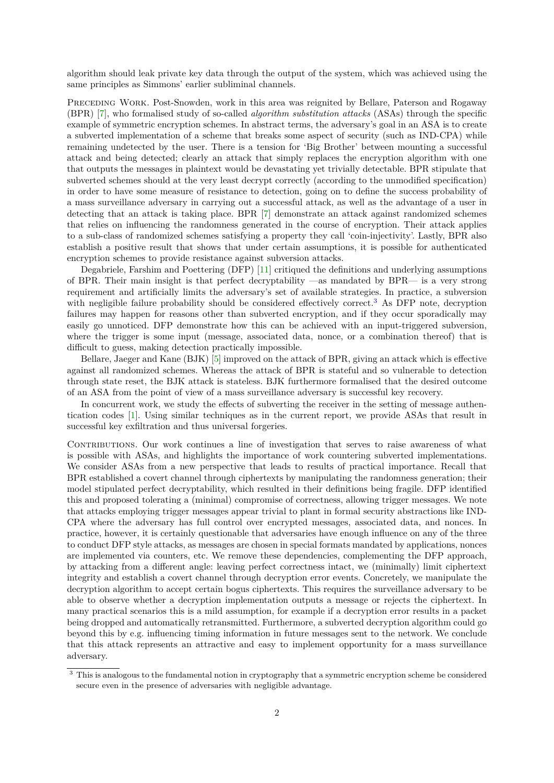algorithm should leak private key data through the output of the system, which was achieved using the same principles as Simmons' earlier subliminal channels.

PRECEDING WORK. Post-Snowden, work in this area was reignited by Bellare, Paterson and Rogaway (BPR) [\[7\]](#page-12-1), who formalised study of so-called *algorithm substitution attacks* (ASAs) through the specific example of symmetric encryption schemes. In abstract terms, the adversary's goal in an ASA is to create a subverted implementation of a scheme that breaks some aspect of security (such as IND-CPA) while remaining undetected by the user. There is a tension for 'Big Brother' between mounting a successful attack and being detected; clearly an attack that simply replaces the encryption algorithm with one that outputs the messages in plaintext would be devastating yet trivially detectable. BPR stipulate that subverted schemes should at the very least decrypt correctly (according to the unmodified specification) in order to have some measure of resistance to detection, going on to define the success probability of a mass surveillance adversary in carrying out a successful attack, as well as the advantage of a user in detecting that an attack is taking place. BPR [\[7\]](#page-12-1) demonstrate an attack against randomized schemes that relies on influencing the randomness generated in the course of encryption. Their attack applies to a sub-class of randomized schemes satisfying a property they call 'coin-injectivity'. Lastly, BPR also establish a positive result that shows that under certain assumptions, it is possible for authenticated encryption schemes to provide resistance against subversion attacks.

Degabriele, Farshim and Poettering (DFP) [\[11\]](#page-12-2) critiqued the definitions and underlying assumptions of BPR. Their main insight is that perfect decryptability —as mandated by BPR— is a very strong requirement and artificially limits the adversary's set of available strategies. In practice, a subversion with negligible failure probability should be considered effectively correct.<sup>[3](#page-1-0)</sup> As DFP note, decryption failures may happen for reasons other than subverted encryption, and if they occur sporadically may easily go unnoticed. DFP demonstrate how this can be achieved with an input-triggered subversion, where the trigger is some input (message, associated data, nonce, or a combination thereof) that is difficult to guess, making detection practically impossible.

Bellare, Jaeger and Kane (BJK) [\[5\]](#page-12-3) improved on the attack of BPR, giving an attack which is effective against all randomized schemes. Whereas the attack of BPR is stateful and so vulnerable to detection through state reset, the BJK attack is stateless. BJK furthermore formalised that the desired outcome of an ASA from the point of view of a mass surveillance adversary is successful key recovery.

In concurrent work, we study the effects of subverting the receiver in the setting of message authentication codes [\[1\]](#page-12-4). Using similar techniques as in the current report, we provide ASAs that result in successful key exfiltration and thus universal forgeries.

CONTRIBUTIONS. Our work continues a line of investigation that serves to raise awareness of what is possible with ASAs, and highlights the importance of work countering subverted implementations. We consider ASAs from a new perspective that leads to results of practical importance. Recall that BPR established a covert channel through ciphertexts by manipulating the randomness generation; their model stipulated perfect decryptability, which resulted in their definitions being fragile. DFP identified this and proposed tolerating a (minimal) compromise of correctness, allowing trigger messages. We note that attacks employing trigger messages appear trivial to plant in formal security abstractions like IND-CPA where the adversary has full control over encrypted messages, associated data, and nonces. In practice, however, it is certainly questionable that adversaries have enough influence on any of the three to conduct DFP style attacks, as messages are chosen in special formats mandated by applications, nonces are implemented via counters, etc. We remove these dependencies, complementing the DFP approach, by attacking from a different angle: leaving perfect correctness intact, we (minimally) limit ciphertext integrity and establish a covert channel through decryption error events. Concretely, we manipulate the decryption algorithm to accept certain bogus ciphertexts. This requires the surveillance adversary to be able to observe whether a decryption implementation outputs a message or rejects the ciphertext. In many practical scenarios this is a mild assumption, for example if a decryption error results in a packet being dropped and automatically retransmitted. Furthermore, a subverted decryption algorithm could go beyond this by e.g. influencing timing information in future messages sent to the network. We conclude that this attack represents an attractive and easy to implement opportunity for a mass surveillance adversary.

<span id="page-1-0"></span><sup>&</sup>lt;sup>3</sup> This is analogous to the fundamental notion in cryptography that a symmetric encryption scheme be considered secure even in the presence of adversaries with negligible advantage.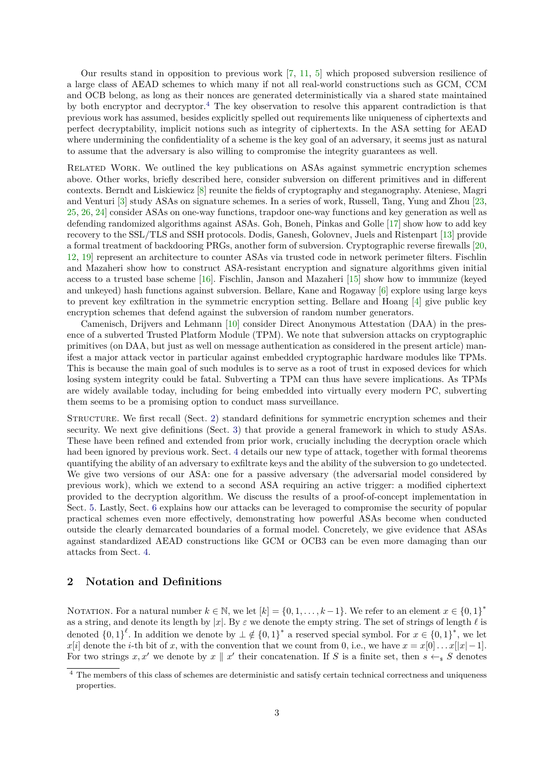Our results stand in opposition to previous work [\[7,](#page-12-1) [11,](#page-12-2) [5\]](#page-12-3) which proposed subversion resilience of a large class of AEAD schemes to which many if not all real-world constructions such as GCM, CCM and OCB belong, as long as their nonces are generated deterministically via a shared state maintained by both encryptor and decryptor.[4](#page-2-0) The key observation to resolve this apparent contradiction is that previous work has assumed, besides explicitly spelled out requirements like uniqueness of ciphertexts and perfect decryptability, implicit notions such as integrity of ciphertexts. In the ASA setting for AEAD where undermining the confidentiality of a scheme is the key goal of an adversary, it seems just as natural to assume that the adversary is also willing to compromise the integrity guarantees as well.

Related Work. We outlined the key publications on ASAs against symmetric encryption schemes above. Other works, briefly described here, consider subversion on different primitives and in different contexts. Berndt and Liskiewicz [\[8\]](#page-12-5) reunite the fields of cryptography and steganography. Ateniese, Magri and Venturi [\[3\]](#page-12-6) study ASAs on signature schemes. In a series of work, Russell, Tang, Yung and Zhou [\[23,](#page-13-5) [25,](#page-13-6) [26,](#page-13-7) [24\]](#page-13-8) consider ASAs on one-way functions, trapdoor one-way functions and key generation as well as defending randomized algorithms against ASAs. Goh, Boneh, Pinkas and Golle [\[17\]](#page-13-9) show how to add key recovery to the SSL/TLS and SSH protocols. Dodis, Ganesh, Golovnev, Juels and Ristenpart [\[13\]](#page-13-10) provide a formal treatment of backdooring PRGs, another form of subversion. Cryptographic reverse firewalls [\[20,](#page-13-11) [12,](#page-12-7) [19\]](#page-13-12) represent an architecture to counter ASAs via trusted code in network perimeter filters. Fischlin and Mazaheri show how to construct ASA-resistant encryption and signature algorithms given initial access to a trusted base scheme [\[16\]](#page-13-13). Fischlin, Janson and Mazaheri [\[15\]](#page-13-14) show how to immunize (keyed and unkeyed) hash functions against subversion. Bellare, Kane and Rogaway [\[6\]](#page-12-8) explore using large keys to prevent key exfiltration in the symmetric encryption setting. Bellare and Hoang [\[4\]](#page-12-9) give public key encryption schemes that defend against the subversion of random number generators.

Camenisch, Drijvers and Lehmann [\[10\]](#page-12-10) consider Direct Anonymous Attestation (DAA) in the presence of a subverted Trusted Platform Module (TPM). We note that subversion attacks on cryptographic primitives (on DAA, but just as well on message authentication as considered in the present article) manifest a major attack vector in particular against embedded cryptographic hardware modules like TPMs. This is because the main goal of such modules is to serve as a root of trust in exposed devices for which losing system integrity could be fatal. Subverting a TPM can thus have severe implications. As TPMs are widely available today, including for being embedded into virtually every modern PC, subverting them seems to be a promising option to conduct mass surveillance.

Structure. We first recall (Sect. [2\)](#page-2-1) standard definitions for symmetric encryption schemes and their security. We next give definitions (Sect. [3\)](#page-4-0) that provide a general framework in which to study ASAs. These have been refined and extended from prior work, crucially including the decryption oracle which had been ignored by previous work. Sect. [4](#page-5-0) details our new type of attack, together with formal theorems quantifying the ability of an adversary to exfiltrate keys and the ability of the subversion to go undetected. We give two versions of our ASA: one for a passive adversary (the adversarial model considered by previous work), which we extend to a second ASA requiring an active trigger: a modified ciphertext provided to the decryption algorithm. We discuss the results of a proof-of-concept implementation in Sect. [5.](#page-9-0) Lastly, Sect. [6](#page-10-0) explains how our attacks can be leveraged to compromise the security of popular practical schemes even more effectively, demonstrating how powerful ASAs become when conducted outside the clearly demarcated boundaries of a formal model. Concretely, we give evidence that ASAs against standardized AEAD constructions like GCM or OCB3 can be even more damaging than our attacks from Sect. [4.](#page-5-0)

### <span id="page-2-1"></span>**2 Notation and Definitions**

NOTATION. For a natural number  $k \in \mathbb{N}$ , we let  $[k] = \{0, 1, \ldots, k-1\}$ . We refer to an element  $x \in \{0, 1\}^*$ as a string, and denote its length by  $|x|$ . By  $\varepsilon$  we denote the empty string. The set of strings of length  $\ell$  is denoted  ${0,1}^{\ell}$ . In addition we denote by  $\perp \notin {0,1}^*$  a reserved special symbol. For  $x \in {0,1}^*$ , we let *x*[*i*] denote the *i*-th bit of *x*, with the convention that we count from 0, i.e., we have  $x = x[0] \dots x[|x|-1]$ . For two strings  $x, x'$  we denote by  $x \parallel x'$  their concatenation. If *S* is a finite set, then  $s \leftarrow s S$  denotes

<span id="page-2-0"></span><sup>&</sup>lt;sup>4</sup> The members of this class of schemes are deterministic and satisfy certain technical correctness and uniqueness properties.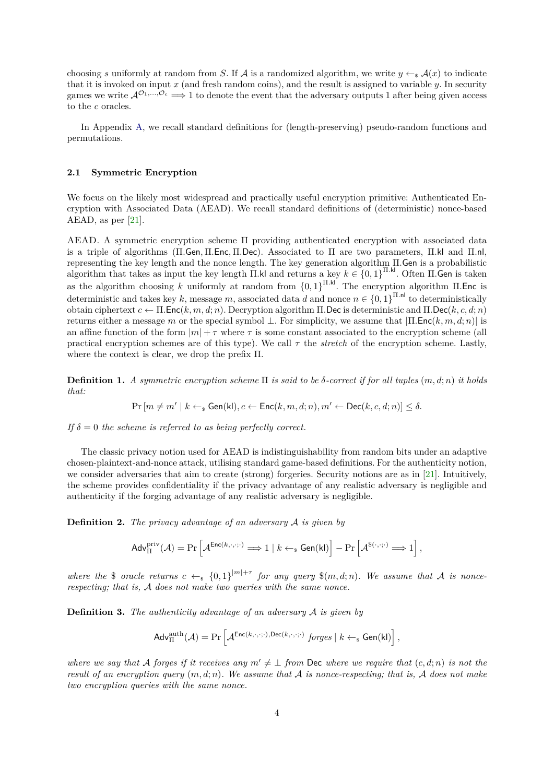choosing *s* uniformly at random from *S*. If A is a randomized algorithm, we write  $y \leftarrow s \mathcal{A}(x)$  to indicate that it is invoked on input *x* (and fresh random coins), and the result is assigned to variable *y*. In security games we write  $\mathcal{A}^{O_1,...,O_c} \Longrightarrow 1$  to denote the event that the adversary outputs 1 after being given access to the *c* oracles.

In Appendix [A,](#page-14-0) we recall standard definitions for (length-preserving) pseudo-random functions and permutations.

### **2.1 Symmetric Encryption**

We focus on the likely most widespread and practically useful encryption primitive: Authenticated Encryption with Associated Data (AEAD). We recall standard definitions of (deterministic) nonce-based AEAD, as per [\[21\]](#page-13-15).

AEAD. A symmetric encryption scheme Π providing authenticated encryption with associated data is a triple of algorithms (Π*.*Gen*,* Π*.*Enc*,* Π*.*Dec). Associated to Π are two parameters, Π*.*kl and Π*.*nl, representing the key length and the nonce length. The key generation algorithm Π*.*Gen is a probabilistic algorithm that takes as input the key length  $\Pi$ .kl and returns a key  $k \in \{0,1\}^{\Pi$ .kl. Often  $\Pi$ . Gen is taken as the algorithm choosing *k* uniformly at random from  ${0,1}^{n,k}$ . The encryption algorithm Π.Enc is deterministic and takes key k, message m, associated data d and nonce  $n \in \{0,1\}^{\Pi \text{.} \text{nl}}$  to deterministically obtain ciphertext *c* ← Π*.*Enc(*k, m, d*; *n*). Decryption algorithm Π*.*Dec is deterministic and Π*.*Dec(*k, c, d*; *n*) returns either a message *m* or the special symbol  $\perp$ . For simplicity, we assume that  $\Pi$ .Enc(*k, m, d; n*) is an affine function of the form  $|m| + \tau$  where  $\tau$  is some constant associated to the encryption scheme (all practical encryption schemes are of this type). We call *τ* the *stretch* of the encryption scheme. Lastly, where the context is clear, we drop the prefix Π.

**Definition 1.** *A symmetric encryption scheme* Π *is said to be δ-correct if for all tuples* (*m, d*; *n*) *it holds that:*

$$
\Pr\left[m \neq m' \mid k \leftarrow_{\text{s}} \text{Gen}(\text{kl}), c \leftarrow \text{Enc}(k, m, d; n), m' \leftarrow \text{Dec}(k, c, d; n)\right] \le \delta.
$$

*If*  $\delta = 0$  *the scheme is referred to as being perfectly correct.* 

The classic privacy notion used for AEAD is indistinguishability from random bits under an adaptive chosen-plaintext-and-nonce attack, utilising standard game-based definitions. For the authenticity notion, we consider adversaries that aim to create (strong) forgeries. Security notions are as in [\[21\]](#page-13-15). Intuitively, the scheme provides confidentiality if the privacy advantage of any realistic adversary is negligible and authenticity if the forging advantage of any realistic adversary is negligible.

**Definition 2.** *The privacy advantage of an adversary* A *is given by*

$$
\mathsf{Adv}_{\Pi}^{\mathsf{priv}}(\mathcal{A}) = \Pr\left[\mathcal{A}^{\mathsf{Enc}(k,\cdot,\cdot;\cdot)} \Longrightarrow 1 \mid k \leftarrow_{\$} \mathsf{Gen}(\mathsf{kl})\right] - \Pr\left[\mathcal{A}^{\$(\cdot,\cdot;\cdot)} \Longrightarrow 1\right],
$$

where the \$ oracle returns  $c \leftarrow_s \{0,1\}^{|m|+\tau}$  for any query  $\$(m,d;n)$ . We assume that A is nonce*respecting; that is,* A *does not make two queries with the same nonce.*

**Definition 3.** *The authenticity advantage of an adversary* A *is given by*

$$
\mathsf{Adv}^{\mathrm{auth}}_{\Pi}(\mathcal{A}) = \Pr\left[\mathcal{A}^{\mathsf{Enc}(k,\cdot,\cdot;\cdot),\mathsf{Dec}(k,\cdot,\cdot;\cdot)} \ \textit{forges} \mid k \leftarrow_\$} \mathsf{Gen}(\mathsf{kl})\right],
$$

*where we say that* A *forges if it receives any*  $m' \neq \perp$  *from* Dec *where we require that*  $(c, d; n)$  *is not the result of an encryption query*  $(m, d; n)$ *. We assume that* A *is nonce-respecting; that is,* A *does not make two encryption queries with the same nonce.*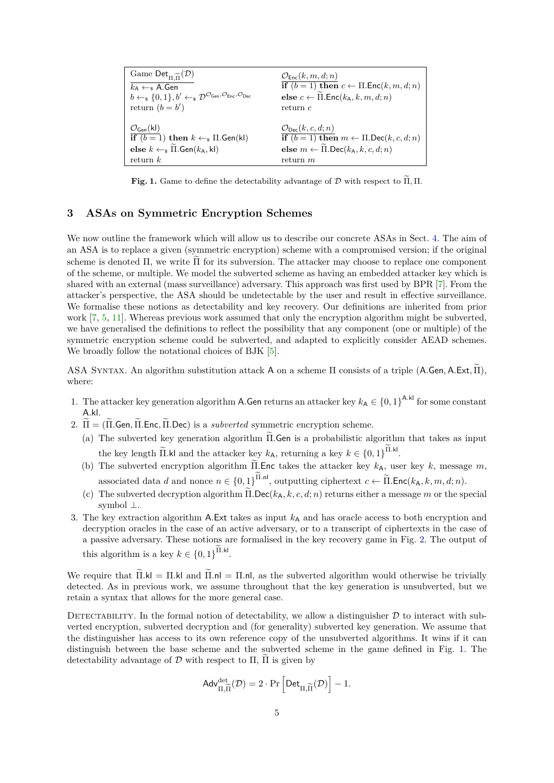| Game $\mathsf{Det}_{\Pi, \widetilde{\Pi}}(\mathcal{D})$                                                                                      | $\mathcal{O}_{\text{Enc}}(k, m, d; n)$                    |
|----------------------------------------------------------------------------------------------------------------------------------------------|-----------------------------------------------------------|
| $k_{\rm A} \leftarrow_{\rm s}$ A.Gen                                                                                                         | if $(b=1)$ then $c \leftarrow \Pi$ . Enc $(k, m, d; n)$   |
| $b \leftarrow_\$ \{0,1\}, b' \leftarrow_\$ \mathcal{D}^{\mathcal{O}_{\mathsf{Gen}}, \mathcal{O}_{\mathsf{Enc}}, \mathcal{O}_{\mathsf{Dec}}}$ | else $c \leftarrow \tilde{\Pi}$ . Enc $(k_A, k, m, d; n)$ |
| return $(b = b')$                                                                                                                            | return c                                                  |
| $\mathcal{O}_{Gen}(kl)$                                                                                                                      | $\mathcal{O}_{\text{Dec}}(k, c, d; n)$                    |
| if $(b = 1)$ then $k \leftarrow_s \Pi$ . Gen(kl)                                                                                             | if $(b=1)$ then $m \leftarrow \Pi$ . Dec $(k, c, d; n)$   |
| else $k \leftarrow \S$ II. Gen $(k_A, kI)$                                                                                                   | else $m \leftarrow \Pi$ . Dec $(k_A, k, c, d; n)$         |
| return $k$                                                                                                                                   | return $m$                                                |

<span id="page-4-1"></span>**Fig. 1.** Game to define the detectability advantage of  $\mathcal{D}$  with respect to  $\widetilde{\Pi}$ ,  $\Pi$ .

# <span id="page-4-0"></span>**3 ASAs on Symmetric Encryption Schemes**

We now outline the framework which will allow us to describe our concrete ASAs in Sect. [4.](#page-5-0) The aim of an ASA is to replace a given (symmetric encryption) scheme with a compromised version; if the original scheme is denoted  $\Pi$ , we write  $\tilde{\Pi}$  for its subversion. The attacker may choose to replace one component of the scheme, or multiple. We model the subverted scheme as having an embedded attacker key which is shared with an external (mass surveillance) adversary. This approach was first used by BPR [\[7\]](#page-12-1). From the attacker's perspective, the ASA should be undetectable by the user and result in effective surveillance. We formalise these notions as detectability and key recovery. Our definitions are inherited from prior work [\[7,](#page-12-1) [5,](#page-12-3) [11\]](#page-12-2). Whereas previous work assumed that only the encryption algorithm might be subverted, we have generalised the definitions to reflect the possibility that any component (one or multiple) of the symmetric encryption scheme could be subverted, and adapted to explicitly consider AEAD schemes. We broadly follow the notational choices of BJK [\[5\]](#page-12-3).

ASA SYNTAX. An algorithm substitution attack A on a scheme Π consists of a triple (A.Gen, A.Ext, Π), where:

- 1. The attacker key generation algorithm A.Gen returns an attacker key  $k_A \in \{0,1\}^{A.kl}$  for some constant A*.*kl.
- 2.  $\widetilde{\Pi} = (\widetilde{\Pi} \cdot \mathsf{Gen}, \widetilde{\Pi} \cdot \mathsf{Enc}, \widetilde{\Pi} \cdot \mathsf{Dec})$  is a *subverted* symmetric encryption scheme.
	- (a) The subverted key generation algorithm  $\tilde{\Pi}$ . Gen is a probabilistic algorithm that takes as input the key length  $\widetilde{\Pi}$ .kl and the attacker key  $k_{\mathsf{A}}$ , returning a key  $k \in \{0,1\}^{\Pi, \mathsf{k} \mathsf{l}}$ .
	- (b) The subverted encryption algorithm  $\tilde{\Pi}$ . Enc takes the attacker key  $k_A$ , user key k, message m, associated data *d* and nonce  $n \in \{0, 1\}^{\Pi \text{.} \mathsf{n}\mathsf{I}}$ , outputting ciphertext  $c \leftarrow \widetilde{\Pi}$ . Enc $(k_{\mathsf{A}}, k, m, d; n)$ .
	- (c) The subverted decryption algorithm  $\widetilde{\Pi}$ . Dec( $k_A, k, c, d; n$ ) returns either a message m or the special symbol ⊥.
- 3. The key extraction algorithm  $A$ *.Ext* takes as input  $k_A$  and has oracle access to both encryption and decryption oracles in the case of an active adversary, or to a transcript of ciphertexts in the case of a passive adversary. These notions are formalised in the key recovery game in Fig. [2.](#page-5-1) The output of this algorithm is a key  $k \in \{0,1\}^{\Pi, \mathsf{kl}}$ .

We require that  $\tilde{\Pi}.\mathsf{k}| = \Pi.\mathsf{k}|$  and  $\tilde{\Pi}.\mathsf{n}| = \Pi.\mathsf{n}|$ , as the subverted algorithm would otherwise be trivially detected. As in previous work, we assume throughout that the key generation is unsubverted, but we retain a syntax that allows for the more general case.

DETECTABILITY. In the formal notion of detectability, we allow a distinguisher  $D$  to interact with subverted encryption, subverted decryption and (for generality) subverted key generation. We assume that the distinguisher has access to its own reference copy of the unsubverted algorithms. It wins if it can distinguish between the base scheme and the subverted scheme in the game defined in Fig. [1.](#page-4-1) The detectability advantage of  $\mathcal D$  with respect to  $\Pi$ .  $\Pi$  is given by

$$
\mathsf{Adv}_{\Pi,\widetilde{\Pi}}^{\mathrm{det}}(\mathcal{D}) = 2 \cdot \Pr\left[\mathsf{Det}_{\Pi,\widetilde{\Pi}}(\mathcal{D})\right] - 1.
$$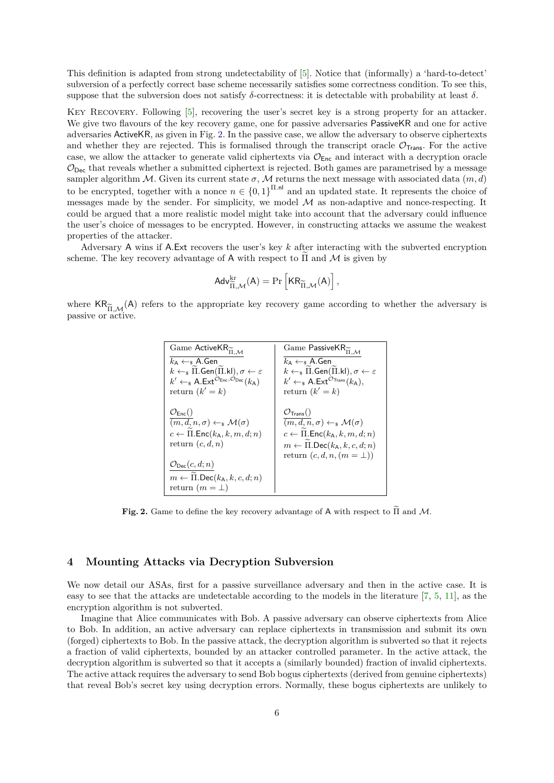This definition is adapted from strong undetectability of [\[5\]](#page-12-3). Notice that (informally) a 'hard-to-detect' subversion of a perfectly correct base scheme necessarily satisfies some correctness condition. To see this, suppose that the subversion does not satisfy *δ*-correctness: it is detectable with probability at least *δ*.

KEY RECOVERY. Following [\[5\]](#page-12-3), recovering the user's secret key is a strong property for an attacker. We give two flavours of the key recovery game, one for passive adversaries PassiveKR and one for active adversaries ActiveKR, as given in Fig. [2.](#page-5-1) In the passive case, we allow the adversary to observe ciphertexts and whether they are rejected. This is formalised through the transcript oracle  $\mathcal{O}_{\text{Trans}}$ . For the active case, we allow the attacker to generate valid ciphertexts via  $\mathcal{O}_{Enc}$  and interact with a decryption oracle  $\mathcal{O}_{\text{Dec}}$  that reveals whether a submitted ciphertext is rejected. Both games are parametrised by a message sampler algorithm M. Given its current state  $\sigma$ , M returns the next message with associated data  $(m, d)$ to be encrypted, together with a nonce  $n \in \{0,1\}^{\Pi \text{.nl}}$  and an updated state. It represents the choice of messages made by the sender. For simplicity, we model  $M$  as non-adaptive and nonce-respecting. It could be argued that a more realistic model might take into account that the adversary could influence the user's choice of messages to be encrypted. However, in constructing attacks we assume the weakest properties of the attacker.

Adversary A wins if A*.*Ext recovers the user's key *k* after interacting with the subverted encryption scheme. The key recovery advantage of A with respect to  $\Pi$  and M is given by

$$
Adv_{\widetilde{\Pi},\mathcal{M}}^{\text{kr}}(A) = \Pr\left[KR_{\widetilde{\Pi},\mathcal{M}}(A)\right],
$$

where  $KR_{\widetilde{\Pi} M}(A)$  refers to the appropriate key recovery game according to whether the adversary is passive or active.

$$
\begin{array}{|c|c|} \hline \text{Game ActiveKR}_{\widetilde{\Pi},\mathcal{M}} & \text{Game PassiveKR}_{\widetilde{\Pi},\mathcal{M}} \\ \hline \hline k_{\leftarrow}\leftarrow_* \widetilde{\Pi}.\text{Gen}(\widetilde{\Pi}.{\mathsf{k}}|), \sigma \leftarrow \varepsilon & k \leftarrow_* \widetilde{\Pi}.\text{Gen}(\widetilde{\Pi}.{\mathsf{k}}|), \sigma \leftarrow \varepsilon \\ k' \leftarrow_* \mathsf{A}.\text{Ext}^{\mathcal{O}_{\text{Enc}},\mathcal{O}_{\text{Dec}}}(k_{\mathsf{A}}) & k' \leftarrow_* \widetilde{\Pi}.\text{Gen}(\widetilde{\Pi}.{\mathsf{k}}|), \sigma \leftarrow \varepsilon \\ k' \leftarrow_* \mathsf{A}.\text{Ext}^{\mathcal{O}_{\text{Enc}},\mathcal{O}_{\text{Dec}}}(k_{\mathsf{A}}) & k' \leftarrow_* \mathsf{A}.\text{Ext}^{\mathcal{O}_{\text{Trans}}}(k_{\mathsf{A}}), \\ \text{return } (k'=k) & k' \leftarrow_* \mathsf{A}.\text{Ext}^{\mathcal{O}_{\text{Trans}}}(k_{\mathsf{A}}), \\ \hline \hline (m,d,n,\sigma) \leftarrow_* \mathcal{M}(\sigma) & m \leftarrow \widetilde{\Pi}.\text{Enc}(k_{\mathsf{A}},k,m,d;n) \\ \text{return } (c,d,n) & c \leftarrow \widetilde{\Pi}.\text{Enc}(k_{\mathsf{A}},k,m,d;n) \\ \text{return } (c,d,n) & m \leftarrow \widetilde{\Pi}.\text{Dec}(k_{\mathsf{A}},k,c,d;n) \\ \hline m \leftarrow \widetilde{\Pi}.\text{Dec}(k_{\mathsf{A}},k,c,d;n) & \text{return } (c,d,n,(m=1)) \\ \hline \hline (m= \bot) & \end{array}
$$

<span id="page-5-1"></span>Fig. 2. Game to define the key recovery advantage of A with respect to  $\tilde{\Pi}$  and M.

### <span id="page-5-0"></span>**4 Mounting Attacks via Decryption Subversion**

We now detail our ASAs, first for a passive surveillance adversary and then in the active case. It is easy to see that the attacks are undetectable according to the models in the literature [\[7,](#page-12-1) [5,](#page-12-3) [11\]](#page-12-2), as the encryption algorithm is not subverted.

Imagine that Alice communicates with Bob. A passive adversary can observe ciphertexts from Alice to Bob. In addition, an active adversary can replace ciphertexts in transmission and submit its own (forged) ciphertexts to Bob. In the passive attack, the decryption algorithm is subverted so that it rejects a fraction of valid ciphertexts, bounded by an attacker controlled parameter. In the active attack, the decryption algorithm is subverted so that it accepts a (similarly bounded) fraction of invalid ciphertexts. The active attack requires the adversary to send Bob bogus ciphertexts (derived from genuine ciphertexts) that reveal Bob's secret key using decryption errors. Normally, these bogus ciphertexts are unlikely to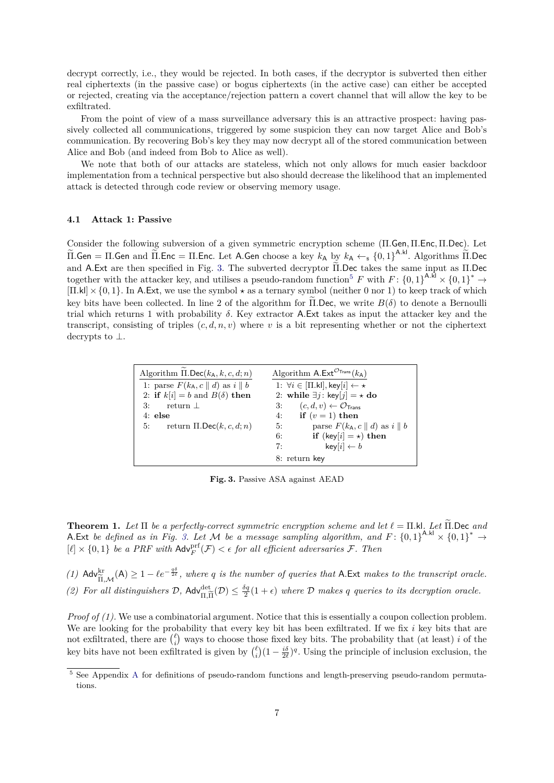decrypt correctly, i.e., they would be rejected. In both cases, if the decryptor is subverted then either real ciphertexts (in the passive case) or bogus ciphertexts (in the active case) can either be accepted or rejected, creating via the acceptance/rejection pattern a covert channel that will allow the key to be exfiltrated.

From the point of view of a mass surveillance adversary this is an attractive prospect: having passively collected all communications, triggered by some suspicion they can now target Alice and Bob's communication. By recovering Bob's key they may now decrypt all of the stored communication between Alice and Bob (and indeed from Bob to Alice as well).

We note that both of our attacks are stateless, which not only allows for much easier backdoor implementation from a technical perspective but also should decrease the likelihood that an implemented attack is detected through code review or observing memory usage.

#### **4.1 Attack 1: Passive**

Consider the following subversion of a given symmetric encryption scheme (Π*.*Gen*,* Π*.*Enc*,* Π*.*Dec). Let  $\widetilde{\Pi}$ .Gen =  $\Pi$ .Gen and  $\widetilde{\Pi}$ .Enc =  $\Pi$ .Enc. Let A.Gen choose a key  $k_A$  by  $k_A \leftarrow_s \{0,1\}^{A.kl}$ . Algorithms  $\widetilde{\Pi}$ .Dec and A.Ext are then specified in Fig. [3.](#page-6-0) The subverted decryptor  $\tilde{\Pi}$ .Dec takes the same input as Π.Dec together with the attacker key, and utilises a pseudo-random function<sup>[5](#page-6-1)</sup> *F* with  $F: \{0,1\}^{A,R} \times \{0,1\}^* \to$  $[\Pi.k] \times \{0,1\}$ . In A.Ext, we use the symbol  $\star$  as a ternary symbol (neither 0 nor 1) to keep track of which key bits have been collected. In line 2 of the algorithm for  $\Pi$ . Dec, we write  $B(\delta)$  to denote a Bernoulli trial which returns 1 with probability *δ*. Key extractor A*.*Ext takes as input the attacker key and the transcript, consisting of triples  $(c, d, n, v)$  where *v* is a bit representing whether or not the ciphertext decrypts to ⊥.

| Algorithm $\Pi$ .Dec( $k_A, k, c, d; n$ )           | Algorithm A.Ext <sup><math>\mathcal{O}_{\text{Trans}}(k_{\mathsf{A}})</math></sup> |
|-----------------------------------------------------|------------------------------------------------------------------------------------|
| 1: parse $F(k_A, c \parallel d)$ as $i \parallel b$ | 1: $\forall i \in [\Pi. \text{kl}], \text{key}[i] \leftarrow \star$                |
| 2: if $k[i] = b$ and $B(\delta)$ then               | 2: while $\exists j$ : key $[j] = \star$ do                                        |
| return $\perp$<br>3:                                | 3: $(c, d, v) \leftarrow \mathcal{O}_{\text{Trans}}$                               |
| $4:$ else                                           | 4: if $(v=1)$ then                                                                 |
| 5: return $\Pi$ .Dec $(k, c, d; n)$                 | parse $F(k_A, c \parallel d)$ as $i \parallel b$<br>5:                             |
|                                                     | if $(key[i] = \star)$ then<br>6:                                                   |
|                                                     | $\mathsf{key}[i] \leftarrow b$<br>7:                                               |
|                                                     | 8: return key                                                                      |

<span id="page-6-0"></span>**Fig. 3.** Passive ASA against AEAD

<span id="page-6-2"></span>**Theorem 1.** Let  $\Pi$  be a perfectly-correct symmetric encryption scheme and let  $\ell = \Pi$ .kl. Let  $\Pi$ . Dec and A.Ext be defined as in Fig. [3.](#page-6-0) Let  $M$  be a message sampling algorithm, and  $F: \{0,1\}^{A \text{ kl}} \times \{0,1\}^* \rightarrow$  $[\ell] \times \{0,1\}$  *be a PRF with*  $\mathsf{Adv}_{F}^{\text{prf}}(\mathcal{F}) < \epsilon$  for all efficient adversaries  $\mathcal{F}$ *. Then* 

 $(1)$  Adv $_{\widetilde{H}}^{\rm kr}$ <sup>Π</sup>e*,*<sup>M</sup>  $\mathcal{L}(A) \geq 1 - \ell e^{-\frac{q\delta}{2\ell}}$ , where q is the number of queries that A.Ext makes to the transcript oracle. *(2)* For all distinguishers  $\mathcal{D}$ , Adv $_{\text{tr}}^{\text{det}}$  $\frac{\partial^2 f}{\partial \Pi}(\mathcal{D}) \leq \frac{\delta q}{2}(1+\epsilon)$  *where*  $\mathcal{D}$  *makes q queries to its decryption oracle.* 

*Proof of (1).* We use a combinatorial argument. Notice that this is essentially a coupon collection problem. We are looking for the probability that every key bit has been exfiltrated. If we fix *i* key bits that are not exfiltrated, there are  $\binom{\ell}{i}$  ways to choose those fixed key bits. The probability that (at least) *i* of the key bits have not been exfiltrated is given by  $\binom{\ell}{i} (1 - \frac{i\delta}{2\ell})^q$ . Using the principle of inclusion exclusion, the

<span id="page-6-1"></span><sup>5</sup> See Appendix [A](#page-14-0) for definitions of pseudo-random functions and length-preserving pseudo-random permutations.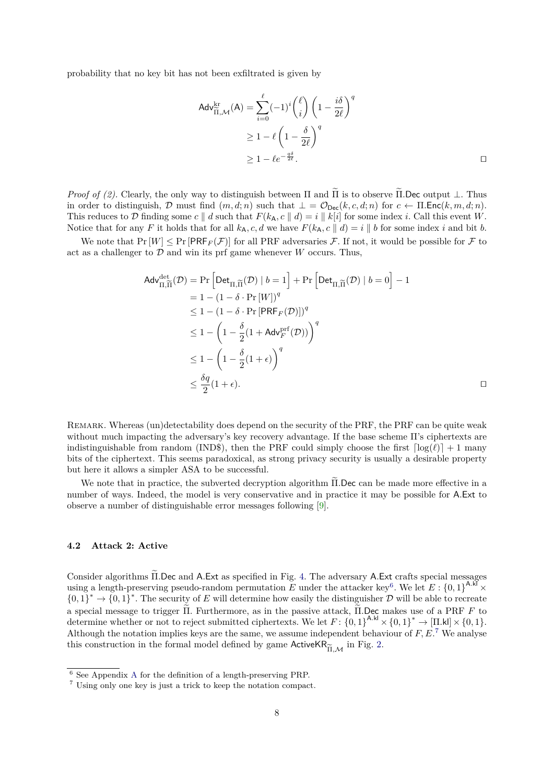probability that no key bit has not been exfiltrated is given by

$$
\begin{aligned} \mathsf{Adv}_{\widetilde{\Pi},\mathcal{M}}^{\text{kr}}(\mathsf{A}) &= \sum_{i=0}^{\ell} (-1)^i \binom{\ell}{i} \left( 1 - \frac{i\delta}{2\ell} \right)^q \\ &\ge 1 - \ell \left( 1 - \frac{\delta}{2\ell} \right)^q \\ &\ge 1 - \ell e^{-\frac{q\delta}{2\ell}}. \end{aligned}
$$

*Proof of (2).* Clearly, the only way to distinguish between  $\Pi$  and  $\widetilde{\Pi}$  is to observe  $\widetilde{\Pi}$ . Dec output  $\bot$ . Thus in order to distinguish,  $\mathcal{D}$  must find  $(m, d; n)$  such that  $\bot = \mathcal{O}_{\text{Dec}}(k, c, d; n)$  for  $c \leftarrow \Pi$ *.Enc*( $k, m, d; n$ ). This reduces to  $D$  finding some  $c \parallel d$  such that  $F(k_A, c \parallel d) = i \parallel k[i]$  for some index *i*. Call this event *W*. Notice that for any *F* it holds that for all  $k_A$ , c, d we have  $F(k_A, c \mid d) = i \mid b$  for some index *i* and bit *b*.

We note that  $Pr[W] \leq Pr[PRF_F(\mathcal{F})]$  for all PRF adversaries  $\mathcal{F}$ . If not, it would be possible for  $\mathcal{F}$  to act as a challenger to  $D$  and win its prf game whenever  $W$  occurs. Thus,

$$
\begin{aligned}\n\mathsf{Adv}_{\Pi, \widetilde{\Pi}}^{\mathrm{det}}(\mathcal{D}) &= \Pr\left[\mathsf{Det}_{\Pi, \widetilde{\Pi}}(\mathcal{D}) \mid b = 1\right] + \Pr\left[\mathsf{Det}_{\Pi, \widetilde{\Pi}}(\mathcal{D}) \mid b = 0\right] - 1 \\
&= 1 - (1 - \delta \cdot \Pr\left[W\right])^q \\
&\leq 1 - (1 - \delta \cdot \Pr\left[\mathsf{PRF}_F(\mathcal{D})\right])^q \\
&\leq 1 - \left(1 - \frac{\delta}{2}(1 + \mathsf{Adv}_F^{\mathrm{prf}}(\mathcal{D}))\right)^q \\
&\leq 1 - \left(1 - \frac{\delta}{2}(1 + \epsilon)\right)^q \\
&\leq \frac{\delta q}{2}(1 + \epsilon).\n\end{aligned}
$$

REMARK. Whereas (un)detectability does depend on the security of the PRF, the PRF can be quite weak without much impacting the adversary's key recovery advantage. If the base scheme Π's ciphertexts are indistinguishable from random (IND\$), then the PRF could simply choose the first  $\lceil \log(\ell) \rceil + 1$  many bits of the ciphertext. This seems paradoxical, as strong privacy security is usually a desirable property but here it allows a simpler ASA to be successful.

We note that in practice, the subverted decryption algorithm  $\overline{\Pi}$ . Dec can be made more effective in a number of ways. Indeed, the model is very conservative and in practice it may be possible for A*.*Ext to observe a number of distinguishable error messages following [\[9\]](#page-12-11).

#### **4.2 Attack 2: Active**

Consider algorithms  $\widetilde{\Pi}$ *.Dec and A.Ext as specified in Fig. [4.](#page-8-0) The adversary A.Ext crafts special messages* using a length-preserving pseudo-random permutation  $E$  under the attacker key<sup>[6](#page-7-0)</sup>. We let  $E: \{0,1\}^{A,K}$  ${0,1}^* \rightarrow {0,1}^*$ . The security of *E* will determine how easily the distinguisher  $D$  will be able to recreate a special message to trigger  $\Pi$ . Furthermore, as in the passive attack,  $\Pi$ . Dec makes use of a PRF F to determine whether or not to reject submitted ciphertexts. We let  $F: \{0,1\}^{A,k} \times \{0,1\}^* \to [\Pi,k] \times \{0,1\}$ . Although the notation implies keys are the same, we assume independent behaviour of *F, E*. [7](#page-7-1) We analyse this construction in the formal model defined by game  $\text{ActiveKR}_{\widetilde{\Pi} M}$  in Fig. [2.](#page-5-1)

<span id="page-7-0"></span><sup>6</sup> See Appendix [A](#page-14-0) for the definition of a length-preserving PRP.

<span id="page-7-1"></span><sup>7</sup> Using only one key is just a trick to keep the notation compact.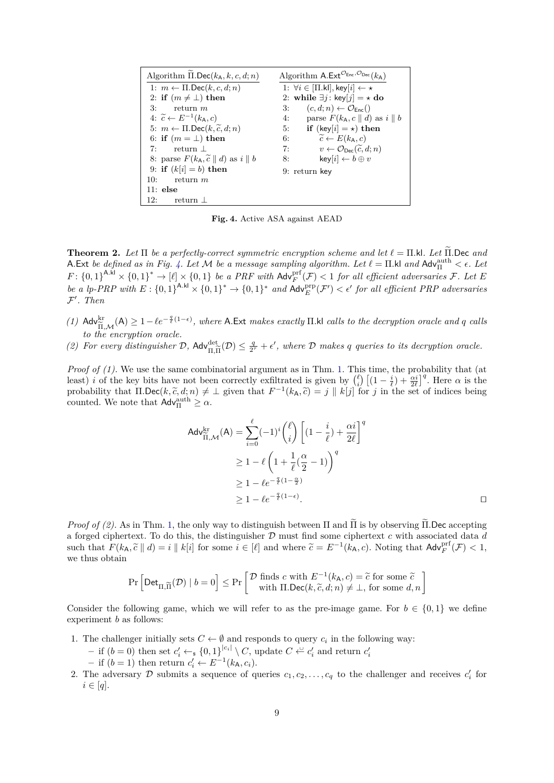| Algorithm $\Pi$ .Dec( $k_A, k, c, d; n$ )                   | Algorithm A.Ext <sup><math>\mathcal{O}_{\text{Enc}}</math>, <math>\mathcal{O}_{\text{Dec}}(k_{\text{A}})</math></sup> |
|-------------------------------------------------------------|-----------------------------------------------------------------------------------------------------------------------|
| 1: $m \leftarrow \Pi$ . Dec $(k, c, d; n)$                  | 1: $\forall i \in [\Pi. \mathsf{k} \mathsf{l}], \mathsf{key}[i] \leftarrow \star$                                     |
| 2: if $(m \neq \perp)$ then                                 | 2: while $\exists j$ : key $[j] = \star$ do                                                                           |
| 3:<br>return $m$                                            | $(c, d; n) \leftarrow \mathcal{O}_{\mathsf{Enc}}($<br>3:                                                              |
| 4: $\widetilde{c} \leftarrow E^{-1}(k_{\mathsf{A}}, c)$     | parse $F(k_A, c \parallel d)$ as $i \parallel b$<br>4:                                                                |
| 5: $m \leftarrow \Pi \text{.Dec}(k, \widetilde{c}, d; n)$   | if $(key[i] = \star)$ then<br>5:                                                                                      |
| 6: if $(m = \perp)$ then                                    | $\widetilde{c} \leftarrow E(k_{\rm A}, c)$<br>6:                                                                      |
| return $\perp$<br>7:                                        | $v \leftarrow \mathcal{O}_{\mathsf{Dec}}(\widetilde{c}, d; n)$<br>7:                                                  |
| 8: parse $F(k_A, \tilde{c} \parallel d)$ as $i \parallel b$ | $\mathsf{key}[i] \leftarrow b \oplus v$<br>8:                                                                         |
| 9: if $(k[i] = b)$ then                                     | 9: return key                                                                                                         |
| 10:<br>return $m$                                           |                                                                                                                       |
| $11:$ else                                                  |                                                                                                                       |
| 12:<br>return $\perp$                                       |                                                                                                                       |

<span id="page-8-0"></span>**Fig. 4.** Active ASA against AEAD

<span id="page-8-1"></span>**Theorem 2.** Let  $\Pi$  be a perfectly-correct symmetric encryption scheme and let  $\ell = \Pi$ .kl. Let  $\Pi$ .Dec and A.Ext be defined as in Fig. [4.](#page-8-0) Let  $M$  be a message sampling algorithm. Let  $\ell = \Pi$ .kl and  $\text{Adv}_{\Pi}^{\text{auth}} < \epsilon$ .  $F: \{0,1\}^{A,k} \times \{0,1\}^* \to [\ell] \times \{0,1\}$  be a PRF with  $\mathsf{Adv}_{F}^{\text{prf}}(\mathcal{F}) < 1$  for all efficient adversaries  $\mathcal{F}$ . Let  $E$ *be a lp-PRP with*  $E: \{0,1\}^{\mathsf{A},\mathsf{kl}} \times \{0,1\}^* \to \{0,1\}^*$  and  $\mathsf{Adv}_{E}^{\text{app}}(\mathcal{F}') < \epsilon'$  for all efficient PRP adversaries F 0 *. Then*

- (1) Adv<sup>kr</sup><sub> $\widetilde{H}$ </sub> (A)  $\geq 1 \ell e^{-\frac{q}{\ell}(1-\epsilon)}$ , where A.Ext makes exactly Π.kl calls to the decryption oracle and *q* calls  $\lim_{\Pi,\mathcal{M}}\left(\Pi\right)=1$  contracts.
- *(2)* For every distinguisher  $\mathcal{D}$ , Adv $_{\text{tr}}^{\text{det}}$  $\frac{d}{d\theta} \frac{d\theta}{d\theta}$  (*D*)  $\leq \frac{q}{2^{\tau}} + \epsilon'$ , where *D* makes *q* queries to its decryption oracle.

*Proof of (1).* We use the same combinatorial argument as in Thm. [1.](#page-6-2) This time, the probability that (at least) *i* of the key bits have not been correctly exfiltrated is given by  $\binom{\ell}{i} \left[ (1 - \frac{i}{\ell}) + \frac{\alpha i}{2\ell} \right]^q$ . Here  $\alpha$  is the probability that  $\Pi$ .Dec $(k, \tilde{c}, d; n) \neq \bot$  given that  $F^{-1}(k_A, \tilde{c}) = j || k[j]$  for j in the set of indices being counted. We note that  $\mathsf{Adv}_{\Pi}^{\text{auth}} \geq \alpha$ .

$$
\begin{aligned} \mathsf{Adv}_{\widetilde{\Pi},\mathcal{M}}^{\text{kr}}(\mathsf{A}) &= \sum_{i=0}^{\ell} (-1)^i \binom{\ell}{i} \left[ (1 - \frac{i}{\ell}) + \frac{\alpha i}{2\ell} \right]^q \\ &\geq 1 - \ell \left( 1 + \frac{1}{\ell} \left( \frac{\alpha}{2} - 1 \right) \right)^q \\ &\geq 1 - \ell e^{-\frac{q}{\ell} (1 - \frac{\alpha}{2})} \\ &\geq 1 - \ell e^{-\frac{q}{\ell} (1 - \epsilon)}. \end{aligned}
$$

*Proof of (2).* As in Thm. [1,](#page-6-2) the only way to distinguish between  $\Pi$  and  $\widetilde{\Pi}$  is by observing  $\widetilde{\Pi}$ . Dec accepting a forged ciphertext. To do this, the distinguisher D must find some ciphertext *c* with associated data *d* such that  $F(k_A, \tilde{c} \parallel d) = i \parallel k[i]$  for some  $i \in [\ell]$  and where  $\tilde{c} = E^{-1}(k_A, c)$ . Noting that  $\mathsf{Adv}_{F}^{\text{prf}}(\mathcal{F}) < 1$ , we thus obtain

$$
\Pr\left[\text{Det}_{\Pi,\widetilde{\Pi}}(\mathcal{D}) \mid b=0\right] \le \Pr\left[\begin{array}{c} \mathcal{D} \text{ finds } c \text{ with } E^{-1}(k_{\mathsf{A}},c) = \widetilde{c} \text{ for some } \widetilde{c} \\ \text{with } \Pi.\text{Dec}(k,\widetilde{c},d;n) \neq \bot, \text{ for some } d,n \end{array}\right]
$$

Consider the following game, which we will refer to as the pre-image game. For  $b \in \{0, 1\}$  we define experiment *b* as follows:

1. The challenger initially sets  $C \leftarrow \emptyset$  and responds to query  $c_i$  in the following way:

- if  $(b = 0)$  then set  $c'_i \leftarrow_s \{0,1\}^{|c_i|} \setminus C$ , update  $C \leftarrow c'_i$  and return  $c'_i$ <br>- if  $(b = 1)$  then return  $c'_i \leftarrow E^{-1}(k_{\mathsf{A}}, c_i)$ .
- 
- 2. The adversary  $D$  submits a sequence of queries  $c_1, c_2, \ldots, c_q$  to the challenger and receives  $c'_i$  for  $i \in [q]$ .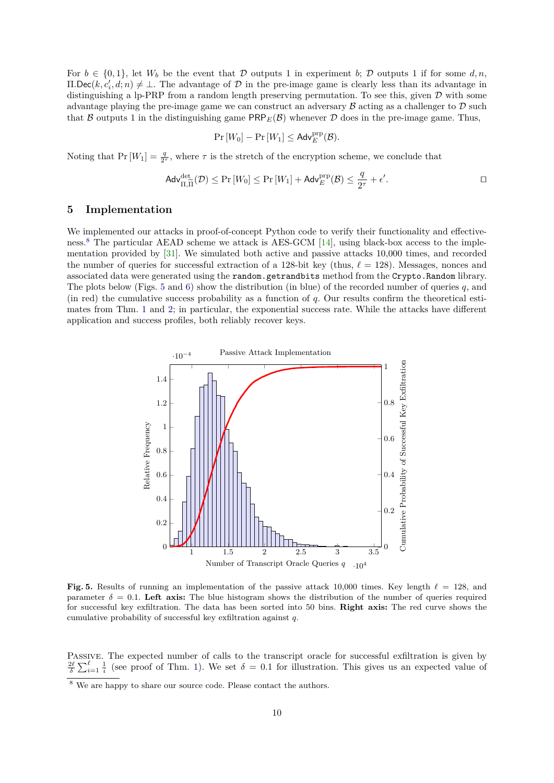For  $b \in \{0,1\}$ , let  $W_b$  be the event that D outputs 1 in experiment *b*; D outputs 1 if for some *d, n,*  $\Pi$ **.Dec**(*k*, *c*<sub>i</sub>, *d*; *n*)  $\neq \bot$ . The advantage of D in the pre-image game is clearly less than its advantage in distinguishing a lp-PRP from a random length preserving permutation. To see this, given  $\mathcal D$  with some advantage playing the pre-image game we can construct an adversary  $\beta$  acting as a challenger to  $\mathcal D$  such that B outputs 1 in the distinguishing game  $PRP_E(\mathcal{B})$  whenever D does in the pre-image game. Thus,

$$
\Pr\left[W_0\right] - \Pr\left[W_1\right] \leq \mathsf{Adv}_{E}^{\mathrm{prp}}(\mathcal{B}).
$$

Noting that  $Pr[W_1] = \frac{q}{2^{\tau}}$ , where  $\tau$  is the stretch of the encryption scheme, we conclude that

$$
\mathsf{Adv}_{\Pi,\widetilde{\Pi}}^{\det}(\mathcal{D}) \leq \Pr\left[W_0\right] \leq \Pr\left[W_1\right] + \mathsf{Adv}_{E}^{\mathrm{prp}}(\mathcal{B}) \leq \frac{q}{2^\tau} + \epsilon'.
$$

## <span id="page-9-0"></span>**5 Implementation**

We implemented our attacks in proof-of-concept Python code to verify their functionality and effectiveness.[8](#page-9-1) The particular AEAD scheme we attack is AES-GCM [\[14\]](#page-13-16), using black-box access to the implementation provided by [\[31\]](#page-14-1). We simulated both active and passive attacks 10,000 times, and recorded the number of queries for successful extraction of a 128-bit key (thus,  $\ell = 128$ ). Messages, nonces and associated data were generated using the random.getrandbits method from the Crypto.Random library. The plots below (Figs. [5](#page-9-2) and [6\)](#page-10-1) show the distribution (in blue) of the recorded number of queries *q*, and (in red) the cumulative success probability as a function of *q*. Our results confirm the theoretical estimates from Thm. [1](#page-6-2) and [2;](#page-8-1) in particular, the exponential success rate. While the attacks have different application and success profiles, both reliably recover keys.



<span id="page-9-2"></span>**Fig. 5.** Results of running an implementation of the passive attack 10,000 times. Key length  $\ell = 128$ , and parameter  $\delta = 0.1$ . Left axis: The blue histogram shows the distribution of the number of queries required for successful key exfiltration. The data has been sorted into 50 bins. **Right axis:** The red curve shows the cumulative probability of successful key exfiltration against *q*.

Passive. The expected number of calls to the transcript oracle for successful exfiltration is given by  $\frac{2\ell}{\delta} \sum_{i=1}^{\ell} \frac{1}{i}$  (see proof of Thm. [1\)](#page-6-2). We set  $\delta = 0.1$  for illustration. This gives us an expected value of

<span id="page-9-1"></span> $8\,$  We are happy to share our source code. Please contact the authors.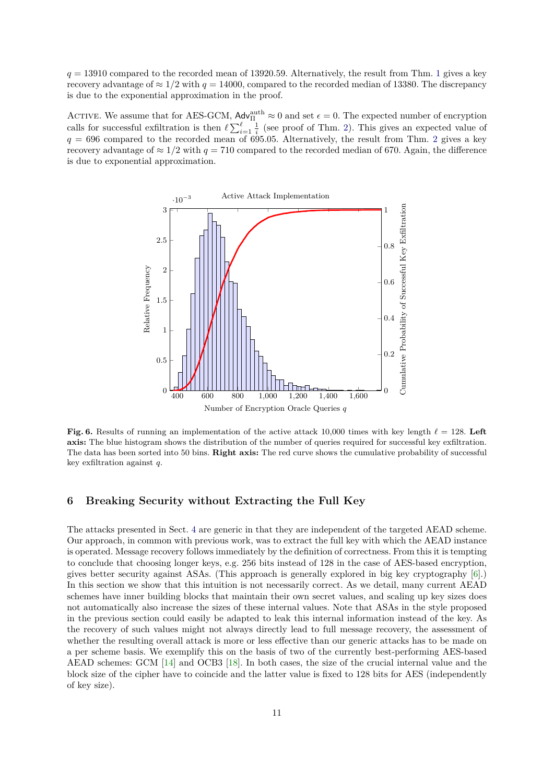$q = 13910$  $q = 13910$  $q = 13910$  compared to the recorded mean of 13920.59. Alternatively, the result from Thm. 1 gives a key recovery advantage of  $\approx 1/2$  with  $q = 14000$ , compared to the recorded median of 13380. The discrepancy is due to the exponential approximation in the proof.

ACTIVE. We assume that for AES-GCM,  $\text{Adv}_{\Pi}^{\text{auth}} \approx 0$  and set  $\epsilon = 0$ . The expected number of encryption calls for successful exfiltration is then  $\ell \sum_{i=1}^{\ell} \frac{1}{i}$  (see proof of Thm. [2\)](#page-8-1). This gives an expected value of  $q = 696$  compared to the recorded mean of 695.05. Alternatively, the result from Thm. [2](#page-8-1) gives a key recovery advantage of  $\approx 1/2$  with  $q = 710$  compared to the recorded median of 670. Again, the difference is due to exponential approximation.



<span id="page-10-1"></span>**Fig. 6.** Results of running an implementation of the active attack 10,000 times with key length  $\ell = 128$ . Left **axis:** The blue histogram shows the distribution of the number of queries required for successful key exfiltration. The data has been sorted into 50 bins. **Right axis:** The red curve shows the cumulative probability of successful key exfiltration against *q*.

## <span id="page-10-0"></span>**6 Breaking Security without Extracting the Full Key**

The attacks presented in Sect. [4](#page-5-0) are generic in that they are independent of the targeted AEAD scheme. Our approach, in common with previous work, was to extract the full key with which the AEAD instance is operated. Message recovery follows immediately by the definition of correctness. From this it is tempting to conclude that choosing longer keys, e.g. 256 bits instead of 128 in the case of AES-based encryption, gives better security against ASAs. (This approach is generally explored in big key cryptography [\[6\]](#page-12-8).) In this section we show that this intuition is not necessarily correct. As we detail, many current AEAD schemes have inner building blocks that maintain their own secret values, and scaling up key sizes does not automatically also increase the sizes of these internal values. Note that ASAs in the style proposed in the previous section could easily be adapted to leak this internal information instead of the key. As the recovery of such values might not always directly lead to full message recovery, the assessment of whether the resulting overall attack is more or less effective than our generic attacks has to be made on a per scheme basis. We exemplify this on the basis of two of the currently best-performing AES-based AEAD schemes: GCM [\[14\]](#page-13-16) and OCB3 [\[18\]](#page-13-17). In both cases, the size of the crucial internal value and the block size of the cipher have to coincide and the latter value is fixed to 128 bits for AES (independently of key size).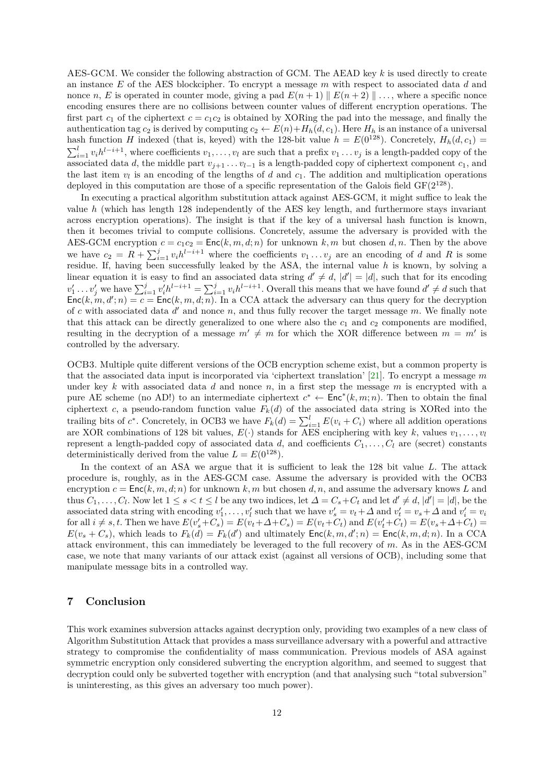AES-GCM. We consider the following abstraction of GCM. The AEAD key *k* is used directly to create an instance *E* of the AES blockcipher. To encrypt a message *m* with respect to associated data *d* and nonce *n*, *E* is operated in counter mode, giving a pad  $E(n+1) \parallel E(n+2) \parallel \ldots$ , where a specific nonce encoding ensures there are no collisions between counter values of different encryption operations. The first part  $c_1$  of the ciphertext  $c = c_1 c_2$  is obtained by XORing the pad into the message, and finally the authentication tag  $c_2$  is derived by computing  $c_2 \leftarrow E(n) + H_h(d, c_1)$ . Here  $H_h$  is an instance of a universal hash function *H* indexed (that is, keyed) with the 128-bit value  $h = E(0^{128})$ . Concretely,  $H_h(d, c_1)$  $\sum_{i=1}^{l} v_i h^{l-i+1}$ , where coefficients  $v_1, \ldots, v_l$  are such that a prefix  $v_1 \ldots v_j$  is a length-padded copy of the associated data *d*, the middle part  $v_{j+1} \ldots v_{l-1}$  is a length-padded copy of ciphertext component  $c_1$ , and the last item  $v_l$  is an encoding of the lengths of *d* and  $c_1$ . The addition and multiplication operations deployed in this computation are those of a specific representation of the Galois field  $GF(2^{128})$ .

In executing a practical algorithm substitution attack against AES-GCM, it might suffice to leak the value *h* (which has length 128 independently of the AES key length, and furthermore stays invariant across encryption operations). The insight is that if the key of a universal hash function is known, then it becomes trivial to compute collisions. Concretely, assume the adversary is provided with the AES-GCM encryption  $c = c_1 c_2 = \text{Enc}(k, m, d; n)$  for unknown  $k, m$  but chosen  $d, n$ . Then by the above we have  $c_2 = R + \sum_{i=1}^{j} v_i h^{l-i+1}$  where the coefficients  $v_1 \ldots v_j$  are an encoding of *d* and *R* is some residue. If, having been successfully leaked by the ASA, the internal value *h* is known, by solving a linear equation it is easy to find an associated data string  $d' \neq d$ ,  $|d'| = |d|$ , such that for its encoding  $v'_1 \ldots v'_j$  we have  $\sum_{i=1}^j v'_i h^{l-i+1} = \sum_{i=1}^j v_i h^{l-i+1}$ . Overall this means that we have found  $d' \neq d$  such that  $Enc(k, m, d'; n) = c = Enc(k, m, d; n)$ . In a CCA attack the adversary can thus query for the decryption of  $c$  with associated data  $d'$  and nonce  $n$ , and thus fully recover the target message  $m$ . We finally note that this attack can be directly generalized to one where also the  $c_1$  and  $c_2$  components are modified, resulting in the decryption of a message  $m' \neq m$  for which the XOR difference between  $m = m'$  is controlled by the adversary.

OCB3. Multiple quite different versions of the OCB encryption scheme exist, but a common property is that the associated data input is incorporated via 'ciphertext translation' [\[21\]](#page-13-15). To encrypt a message *m* under key *k* with associated data *d* and nonce *n*, in a first step the message *m* is encrypted with a pure AE scheme (no AD!) to an intermediate ciphertext  $c^* \leftarrow \text{Enc}^*(k, m; n)$ . Then to obtain the final ciphertext *c*, a pseudo-random function value  $F_k(d)$  of the associated data string is XORed into the trailing bits of  $c^*$ . Concretely, in OCB3 we have  $F_k(d) = \sum_{i=1}^l E(v_i + C_i)$  where all addition operations are XOR combinations of 128 bit values,  $E(\cdot)$  stands for AES enciphering with key k, values  $v_1, \ldots, v_l$ represent a length-padded copy of associated data *d*, and coefficients  $C_1, \ldots, C_l$  are (secret) constants deterministically derived from the value  $L = E(0^{128})$ .

In the context of an ASA we argue that it is sufficient to leak the 128 bit value *L*. The attack procedure is, roughly, as in the AES-GCM case. Assume the adversary is provided with the OCB3 encryption  $c = \text{Enc}(k, m, d; n)$  for unknown  $k, m$  but chosen  $d, n$ , and assume the adversary knows L and thus  $C_1, \ldots, C_l$ . Now let  $1 \le s < t \le l$  be any two indices, let  $\Delta = C_s + C_t$  and let  $d' \ne d$ ,  $|d'| = |d|$ , be the associated data string with encoding  $v'_1, \ldots, v'_l$  such that we have  $v'_s = v_t + \Delta$  and  $v'_t = v_s + \Delta$  and  $v'_i = v_i$ for all  $i \neq s, t$ . Then we have  $E(v_s' + C_s) = E(v_t + \Delta + C_s) = E(v_t + C_t)$  and  $E(v_t' + C_t) = E(v_s + \Delta + C_t) =$  $E(v_s + C_s)$ , which leads to  $F_k(d) = F_k(d')$  and ultimately  $Enc(k, m, d'; n) = Enc(k, m, d; n)$ . In a CCA attack environment, this can immediately be leveraged to the full recovery of *m*. As in the AES-GCM case, we note that many variants of our attack exist (against all versions of OCB), including some that manipulate message bits in a controlled way.

### **7 Conclusion**

This work examines subversion attacks against decryption only, providing two examples of a new class of Algorithm Substitution Attack that provides a mass surveillance adversary with a powerful and attractive strategy to compromise the confidentiality of mass communication. Previous models of ASA against symmetric encryption only considered subverting the encryption algorithm, and seemed to suggest that decryption could only be subverted together with encryption (and that analysing such "total subversion" is uninteresting, as this gives an adversary too much power).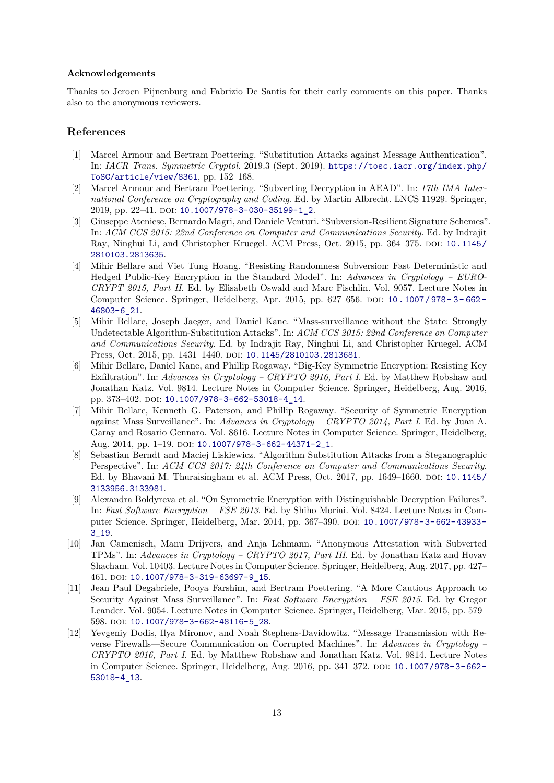#### **Acknowledgements**

Thanks to Jeroen Pijnenburg and Fabrizio De Santis for their early comments on this paper. Thanks also to the anonymous reviewers.

## **References**

- <span id="page-12-4"></span>[1] Marcel Armour and Bertram Poettering. "Substitution Attacks against Message Authentication". In: *IACR Trans. Symmetric Cryptol.* 2019.3 (Sept. 2019). [https://tosc.iacr.org/index.php/](https://tosc.iacr.org/index.php/ToSC/article/view/8361) [ToSC/article/view/8361](https://tosc.iacr.org/index.php/ToSC/article/view/8361), pp. 152–168.
- <span id="page-12-0"></span>[2] Marcel Armour and Bertram Poettering. "Subverting Decryption in AEAD". In: *17th IMA International Conference on Cryptography and Coding*. Ed. by Martin Albrecht. LNCS 11929. Springer, 2019, pp. 22-41. DOI: [10.1007/978-3-030-35199-1\\_2](https://doi.org/10.1007/978-3-030-35199-1_2).
- <span id="page-12-6"></span>[3] Giuseppe Ateniese, Bernardo Magri, and Daniele Venturi. "Subversion-Resilient Signature Schemes". In: *ACM CCS 2015: 22nd Conference on Computer and Communications Security*. Ed. by Indrajit Ray, Ninghui Li, and Christopher Kruegel. ACM Press, Oct. 2015, pp. 364–375. DOI: [10.1145/](https://doi.org/10.1145/2810103.2813635) [2810103.2813635](https://doi.org/10.1145/2810103.2813635).
- <span id="page-12-9"></span>[4] Mihir Bellare and Viet Tung Hoang. "Resisting Randomness Subversion: Fast Deterministic and Hedged Public-Key Encryption in the Standard Model". In: *Advances in Cryptology – EURO-CRYPT 2015, Part II*. Ed. by Elisabeth Oswald and Marc Fischlin. Vol. 9057. Lecture Notes in Computer Science. Springer, Heidelberg, Apr. 2015, pp. 627–656. doi: [10 . 1007 / 978 - 3 - 662 -](https://doi.org/10.1007/978-3-662-46803-6_21) [46803-6\\_21](https://doi.org/10.1007/978-3-662-46803-6_21).
- <span id="page-12-3"></span>[5] Mihir Bellare, Joseph Jaeger, and Daniel Kane. "Mass-surveillance without the State: Strongly Undetectable Algorithm-Substitution Attacks". In: *ACM CCS 2015: 22nd Conference on Computer and Communications Security*. Ed. by Indrajit Ray, Ninghui Li, and Christopher Kruegel. ACM Press, Oct. 2015, pp. 1431-1440. poi: [10.1145/2810103.2813681](https://doi.org/10.1145/2810103.2813681).
- <span id="page-12-8"></span>[6] Mihir Bellare, Daniel Kane, and Phillip Rogaway. "Big-Key Symmetric Encryption: Resisting Key Exfiltration". In: *Advances in Cryptology – CRYPTO 2016, Part I*. Ed. by Matthew Robshaw and Jonathan Katz. Vol. 9814. Lecture Notes in Computer Science. Springer, Heidelberg, Aug. 2016, pp. 373-402. doi: [10.1007/978-3-662-53018-4\\_14](https://doi.org/10.1007/978-3-662-53018-4_14).
- <span id="page-12-1"></span>[7] Mihir Bellare, Kenneth G. Paterson, and Phillip Rogaway. "Security of Symmetric Encryption against Mass Surveillance". In: *Advances in Cryptology – CRYPTO 2014, Part I*. Ed. by Juan A. Garay and Rosario Gennaro. Vol. 8616. Lecture Notes in Computer Science. Springer, Heidelberg, Aug. 2014, pp. 1-19. doi: [10.1007/978-3-662-44371-2\\_1](https://doi.org/10.1007/978-3-662-44371-2_1).
- <span id="page-12-5"></span>[8] Sebastian Berndt and Maciej Liskiewicz. "Algorithm Substitution Attacks from a Steganographic Perspective". In: *ACM CCS 2017: 24th Conference on Computer and Communications Security*. Ed. by Bhavani M. Thuraisingham et al. ACM Press, Oct. 2017, pp. 1649–1660. poi: [10.1145/](https://doi.org/10.1145/3133956.3133981) [3133956.3133981](https://doi.org/10.1145/3133956.3133981).
- <span id="page-12-11"></span>[9] Alexandra Boldyreva et al. "On Symmetric Encryption with Distinguishable Decryption Failures". In: *Fast Software Encryption – FSE 2013*. Ed. by Shiho Moriai. Vol. 8424. Lecture Notes in Com-puter Science. Springer, Heidelberg, Mar. 2014, pp. 367–390. DOI: [10.1007/978-3-662-43933-](https://doi.org/10.1007/978-3-662-43933-3_19) [3\\_19](https://doi.org/10.1007/978-3-662-43933-3_19).
- <span id="page-12-10"></span>[10] Jan Camenisch, Manu Drijvers, and Anja Lehmann. "Anonymous Attestation with Subverted TPMs". In: *Advances in Cryptology – CRYPTO 2017, Part III*. Ed. by Jonathan Katz and Hovav Shacham. Vol. 10403. Lecture Notes in Computer Science. Springer, Heidelberg, Aug. 2017, pp. 427– 461. DOI: [10.1007/978-3-319-63697-9\\_15](https://doi.org/10.1007/978-3-319-63697-9_15).
- <span id="page-12-2"></span>[11] Jean Paul Degabriele, Pooya Farshim, and Bertram Poettering. "A More Cautious Approach to Security Against Mass Surveillance". In: *Fast Software Encryption – FSE 2015*. Ed. by Gregor Leander. Vol. 9054. Lecture Notes in Computer Science. Springer, Heidelberg, Mar. 2015, pp. 579– 598. doi: [10.1007/978-3-662-48116-5\\_28](https://doi.org/10.1007/978-3-662-48116-5_28).
- <span id="page-12-7"></span>[12] Yevgeniy Dodis, Ilya Mironov, and Noah Stephens-Davidowitz. "Message Transmission with Reverse Firewalls—Secure Communication on Corrupted Machines". In: *Advances in Cryptology – CRYPTO 2016, Part I*. Ed. by Matthew Robshaw and Jonathan Katz. Vol. 9814. Lecture Notes in Computer Science. Springer, Heidelberg, Aug. 2016, pp. 341–372. doi: [10.1007/978-3-662-](https://doi.org/10.1007/978-3-662-53018-4_13) [53018-4\\_13](https://doi.org/10.1007/978-3-662-53018-4_13).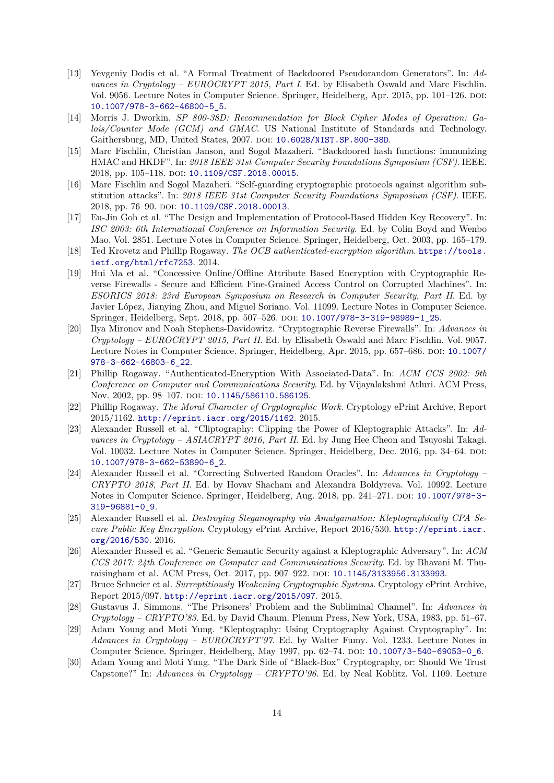- <span id="page-13-10"></span>[13] Yevgeniy Dodis et al. "A Formal Treatment of Backdoored Pseudorandom Generators". In: *Advances in Cryptology – EUROCRYPT 2015, Part I*. Ed. by Elisabeth Oswald and Marc Fischlin. Vol. 9056. Lecture Notes in Computer Science. Springer, Heidelberg, Apr. 2015, pp. 101–126. DOI: [10.1007/978-3-662-46800-5\\_5](https://doi.org/10.1007/978-3-662-46800-5_5).
- <span id="page-13-16"></span>[14] Morris J. Dworkin. *SP 800-38D: Recommendation for Block Cipher Modes of Operation: Galois/Counter Mode (GCM) and GMAC*. US National Institute of Standards and Technology. Gaithersburg, MD, United States, 2007. DOI: [10.6028/NIST.SP.800-38D](https://doi.org/10.6028/NIST.SP.800-38D).
- <span id="page-13-14"></span>[15] Marc Fischlin, Christian Janson, and Sogol Mazaheri. "Backdoored hash functions: immunizing HMAC and HKDF". In: *2018 IEEE 31st Computer Security Foundations Symposium (CSF)*. IEEE. 2018, pp. 105-118. DOI: [10.1109/CSF.2018.00015](https://doi.org/10.1109/CSF.2018.00015).
- <span id="page-13-13"></span>[16] Marc Fischlin and Sogol Mazaheri. "Self-guarding cryptographic protocols against algorithm substitution attacks". In: *2018 IEEE 31st Computer Security Foundations Symposium (CSF)*. IEEE. 2018, pp. 76–90. doi: [10.1109/CSF.2018.00013](https://doi.org/10.1109/CSF.2018.00013).
- <span id="page-13-9"></span>[17] Eu-Jin Goh et al. "The Design and Implementation of Protocol-Based Hidden Key Recovery". In: *ISC 2003: 6th International Conference on Information Security*. Ed. by Colin Boyd and Wenbo Mao. Vol. 2851. Lecture Notes in Computer Science. Springer, Heidelberg, Oct. 2003, pp. 165–179.
- <span id="page-13-17"></span>[18] Ted Krovetz and Phillip Rogaway. *The OCB authenticated-encryption algorithm*. [https://tools.](https://tools.ietf.org/html/rfc7253) [ietf.org/html/rfc7253](https://tools.ietf.org/html/rfc7253). 2014.
- <span id="page-13-12"></span>[19] Hui Ma et al. "Concessive Online/Offline Attribute Based Encryption with Cryptographic Reverse Firewalls - Secure and Efficient Fine-Grained Access Control on Corrupted Machines". In: *ESORICS 2018: 23rd European Symposium on Research in Computer Security, Part II*. Ed. by Javier López, Jianying Zhou, and Miguel Soriano. Vol. 11099. Lecture Notes in Computer Science. Springer, Heidelberg, Sept. 2018, pp. 507–526. doi: [10.1007/978-3-319-98989-1\\_25](https://doi.org/10.1007/978-3-319-98989-1_25).
- <span id="page-13-11"></span>[20] Ilya Mironov and Noah Stephens-Davidowitz. "Cryptographic Reverse Firewalls". In: *Advances in Cryptology – EUROCRYPT 2015, Part II*. Ed. by Elisabeth Oswald and Marc Fischlin. Vol. 9057. Lecture Notes in Computer Science. Springer, Heidelberg, Apr. 2015, pp. 657–686. poi: [10.1007/](https://doi.org/10.1007/978-3-662-46803-6_22) [978-3-662-46803-6\\_22](https://doi.org/10.1007/978-3-662-46803-6_22).
- <span id="page-13-15"></span>[21] Phillip Rogaway. "Authenticated-Encryption With Associated-Data". In: *ACM CCS 2002: 9th Conference on Computer and Communications Security*. Ed. by Vijayalakshmi Atluri. ACM Press, Nov. 2002, pp. 98-107. doi: [10.1145/586110.586125](https://doi.org/10.1145/586110.586125).
- <span id="page-13-0"></span>[22] Phillip Rogaway. *The Moral Character of Cryptographic Work*. Cryptology ePrint Archive, Report 2015/1162. <http://eprint.iacr.org/2015/1162>. 2015.
- <span id="page-13-5"></span>[23] Alexander Russell et al. "Cliptography: Clipping the Power of Kleptographic Attacks". In: *Advances in Cryptology – ASIACRYPT 2016, Part II*. Ed. by Jung Hee Cheon and Tsuyoshi Takagi. Vol. 10032. Lecture Notes in Computer Science. Springer, Heidelberg, Dec. 2016, pp. 34–64. doi: [10.1007/978-3-662-53890-6\\_2](https://doi.org/10.1007/978-3-662-53890-6_2).
- <span id="page-13-8"></span>[24] Alexander Russell et al. "Correcting Subverted Random Oracles". In: *Advances in Cryptology – CRYPTO 2018, Part II*. Ed. by Hovav Shacham and Alexandra Boldyreva. Vol. 10992. Lecture Notes in Computer Science. Springer, Heidelberg, Aug. 2018, pp. 241–271. DOI: [10.1007/978-3-](https://doi.org/10.1007/978-3-319-96881-0_9) [319-96881-0\\_9](https://doi.org/10.1007/978-3-319-96881-0_9).
- <span id="page-13-6"></span>[25] Alexander Russell et al. *Destroying Steganography via Amalgamation: Kleptographically CPA Secure Public Key Encryption*. Cryptology ePrint Archive, Report 2016/530. [http://eprint.iacr.](http://eprint.iacr.org/2016/530) [org/2016/530](http://eprint.iacr.org/2016/530). 2016.
- <span id="page-13-7"></span>[26] Alexander Russell et al. "Generic Semantic Security against a Kleptographic Adversary". In: *ACM CCS 2017: 24th Conference on Computer and Communications Security*. Ed. by Bhavani M. Thuraisingham et al. ACM Press, Oct. 2017, pp. 907–922. doi: [10.1145/3133956.3133993](https://doi.org/10.1145/3133956.3133993).
- <span id="page-13-1"></span>[27] Bruce Schneier et al. *Surreptitiously Weakening Cryptographic Systems*. Cryptology ePrint Archive, Report 2015/097. <http://eprint.iacr.org/2015/097>. 2015.
- <span id="page-13-4"></span>[28] Gustavus J. Simmons. "The Prisoners' Problem and the Subliminal Channel". In: *Advances in Cryptology – CRYPTO'83*. Ed. by David Chaum. Plenum Press, New York, USA, 1983, pp. 51–67.
- <span id="page-13-3"></span>[29] Adam Young and Moti Yung. "Kleptography: Using Cryptography Against Cryptography". In: *Advances in Cryptology – EUROCRYPT'97*. Ed. by Walter Fumy. Vol. 1233. Lecture Notes in Computer Science. Springer, Heidelberg, May 1997, pp. 62–74. DOI: [10.1007/3-540-69053-0\\_6](https://doi.org/10.1007/3-540-69053-0_6).
- <span id="page-13-2"></span>[30] Adam Young and Moti Yung. "The Dark Side of "Black-Box" Cryptography, or: Should We Trust Capstone?" In: *Advances in Cryptology – CRYPTO'96*. Ed. by Neal Koblitz. Vol. 1109. Lecture